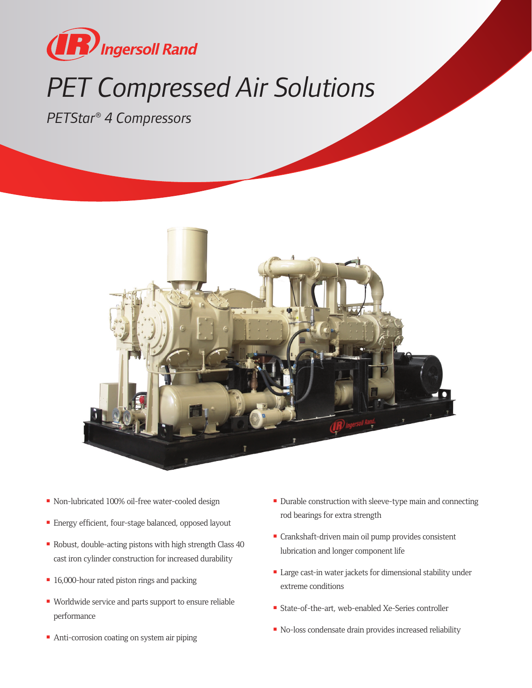

## **PET Compressed Air Solutions**

*PETStar® 4 Compressors*



- Non-lubricated 100% oil-free water-cooled design
- Energy efficient, four-stage balanced, opposed layout
- Robust, double-acting pistons with high strength Class  $40$ cast iron cylinder construction for increased durability
- **n** 16,000-hour rated piston rings and packing
- Worldwide service and parts support to ensure reliable performance
- Anti-corrosion coating on system air piping
- **Durable construction with sleeve-type main and connecting** rod bearings for extra strength
- Crankshaft-driven main oil pump provides consistent lubrication and longer component life
- Large cast-in water jackets for dimensional stability under extreme conditions
- State-of-the-art, web-enabled Xe-Series controller
- No-loss condensate drain provides increased reliability